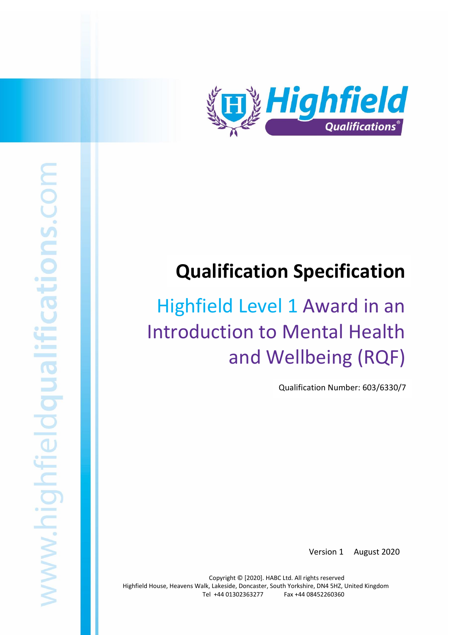

# **Qualification Specification**

# Highfield Level 1 Award in an Introduction to Mental Health and Wellbeing (RQF)

Qualification Number: 603/6330/7

Version 1 August 2020

Copyright © [2020]. HABC Ltd. All rights reserved Highfield House, Heavens Walk, Lakeside, Doncaster, South Yorkshire, DN4 5HZ, United Kingdom Tel +44 01302363277 Fax +44 08452260360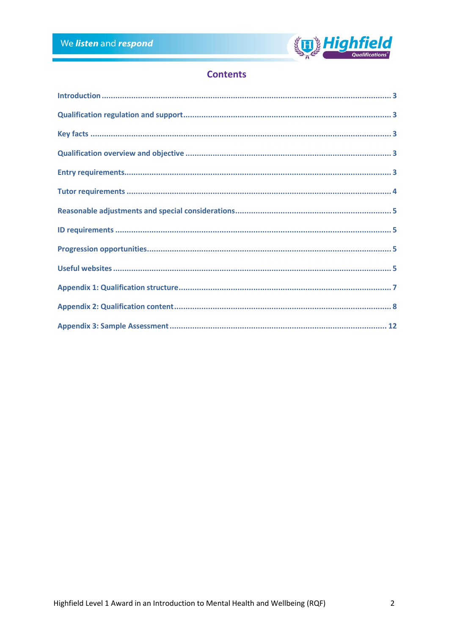

# **Contents**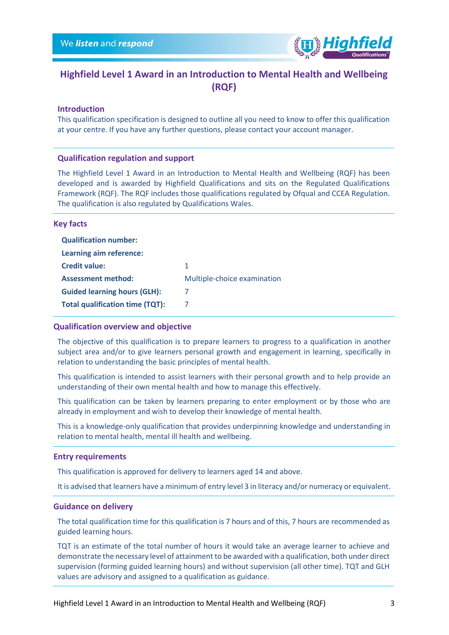

# **Highfield Level 1 Award in an Introduction to Mental Health and Wellbeing (RQF)**

## <span id="page-2-0"></span>**Introduction**

This qualification specification is designed to outline all you need to know to offer this qualification at your centre. If you have any further questions, please contact your account manager.

## <span id="page-2-1"></span>**Qualification regulation and support**

The Highfield Level 1 Award in an Introduction to Mental Health and Wellbeing (RQF) has been developed and is awarded by Highfield Qualifications and sits on the Regulated Qualifications Framework (RQF). The RQF includes those qualifications regulated by Ofqual and CCEA Regulation. The qualification is also regulated by Qualifications Wales.

## <span id="page-2-2"></span>**Key facts**

| <b>Qualification number:</b>           |                             |
|----------------------------------------|-----------------------------|
| Learning aim reference:                |                             |
| <b>Credit value:</b>                   | 1.                          |
| <b>Assessment method:</b>              | Multiple-choice examination |
| <b>Guided learning hours (GLH):</b>    | 7                           |
| <b>Total qualification time (TQT):</b> |                             |

## <span id="page-2-3"></span>**Qualification overview and objective**

The objective of this qualification is to prepare learners to progress to a qualification in another subject area and/or to give learners personal growth and engagement in learning, specifically in relation to understanding the basic principles of mental health.

This qualification is intended to assist learners with their personal growth and to help provide an understanding of their own mental health and how to manage this effectively.

This qualification can be taken by learners preparing to enter employment or by those who are already in employment and wish to develop their knowledge of mental health.

This is a knowledge-only qualification that provides underpinning knowledge and understanding in relation to mental health, mental ill health and wellbeing.

## <span id="page-2-4"></span>**Entry requirements**

This qualification is approved for delivery to learners aged 14 and above.

It is advised that learners have a minimum of entry level 3 in literacy and/or numeracy or equivalent.

## **Guidance on delivery**

The total qualification time for this qualification is 7 hours and of this, 7 hours are recommended as guided learning hours.

TQT is an estimate of the total number of hours it would take an average learner to achieve and demonstrate the necessary level of attainment to be awarded with a qualification, both under direct supervision (forming guided learning hours) and without supervision (all other time). TQT and GLH values are advisory and assigned to a qualification as guidance.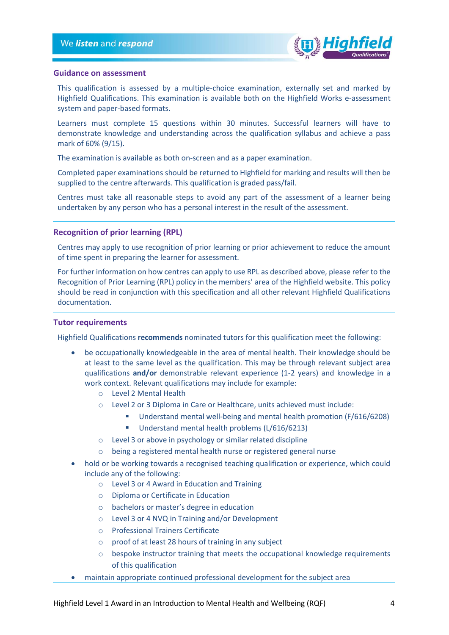

## **Guidance on assessment**

This qualification is assessed by a multiple-choice examination, externally set and marked by Highfield Qualifications. This examination is available both on the Highfield Works e-assessment system and paper-based formats.

Learners must complete 15 questions within 30 minutes. Successful learners will have to demonstrate knowledge and understanding across the qualification syllabus and achieve a pass mark of 60% (9/15).

The examination is available as both on-screen and as a paper examination.

Completed paper examinations should be returned to Highfield for marking and results will then be supplied to the centre afterwards. This qualification is graded pass/fail.

Centres must take all reasonable steps to avoid any part of the assessment of a learner being undertaken by any person who has a personal interest in the result of the assessment.

## **Recognition of prior learning (RPL)**

Centres may apply to use recognition of prior learning or prior achievement to reduce the amount of time spent in preparing the learner for assessment.

For further information on how centres can apply to use RPL as described above, please refer to the Recognition of Prior Learning (RPL) policy in the members' area of the Highfield website. This policy should be read in conjunction with this specification and all other relevant Highfield Qualifications documentation.

## <span id="page-3-0"></span>**Tutor requirements**

Highfield Qualifications **recommends** nominated tutors for this qualification meet the following:

- be occupationally knowledgeable in the area of mental health. Their knowledge should be at least to the same level as the qualification. This may be through relevant subject area qualifications **and/or** demonstrable relevant experience (1-2 years) and knowledge in a work context. Relevant qualifications may include for example:
	- o Level 2 Mental Health
	- o Level 2 or 3 Diploma in Care or Healthcare, units achieved must include:
		- Understand mental well-being and mental health promotion (F/616/6208)
			- Understand mental health problems (L/616/6213)
	- o Level 3 or above in psychology or similar related discipline
	- o being a registered mental health nurse or registered general nurse
- hold or be working towards a recognised teaching qualification or experience, which could include any of the following:
	- o Level 3 or 4 Award in Education and Training
	- o Diploma or Certificate in Education
	- o bachelors or master's degree in education
	- o Level 3 or 4 NVQ in Training and/or Development
	- o Professional Trainers Certificate
	- o proof of at least 28 hours of training in any subject
	- $\circ$  bespoke instructor training that meets the occupational knowledge requirements of this qualification
- maintain appropriate continued professional development for the subject area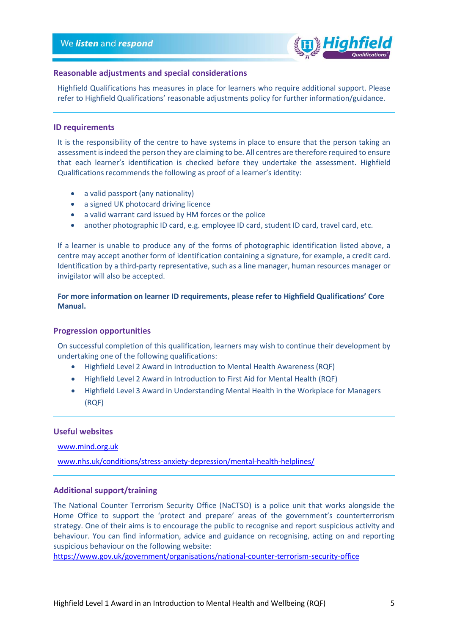

## <span id="page-4-0"></span>**Reasonable adjustments and special considerations**

Highfield Qualifications has measures in place for learners who require additional support. Please refer to Highfield Qualifications' reasonable adjustments policy for further information/guidance.

## <span id="page-4-1"></span>**ID requirements**

It is the responsibility of the centre to have systems in place to ensure that the person taking an assessment is indeed the person they are claiming to be. All centres are therefore required to ensure that each learner's identification is checked before they undertake the assessment. Highfield Qualifications recommends the following as proof of a learner's identity:

- a valid passport (any nationality)
- a signed UK photocard driving licence
- a valid warrant card issued by HM forces or the police
- another photographic ID card, e.g. employee ID card, student ID card, travel card, etc.

If a learner is unable to produce any of the forms of photographic identification listed above, a centre may accept another form of identification containing a signature, for example, a credit card. Identification by a third-party representative, such as a line manager, human resources manager or invigilator will also be accepted.

**For more information on learner ID requirements, please refer to Highfield Qualifications' Core Manual.**

## <span id="page-4-2"></span>**Progression opportunities**

On successful completion of this qualification, learners may wish to continue their development by undertaking one of the following qualifications:

- Highfield Level 2 Award in Introduction to Mental Health Awareness (RQF)
- Highfield Level 2 Award in Introduction to First Aid for Mental Health (RQF)
- Highfield Level 3 Award in Understanding Mental Health in the Workplace for Managers (RQF)

## <span id="page-4-3"></span>**Useful websites**

[www.mind.org.uk](http://www.mind.org.uk/)

[www.nhs.uk/conditions/stress-anxiety-depression/mental-health-helplines/](http://www.nhs.uk/conditions/stress-anxiety-depression/mental-health-helplines/)

## **Additional support/training**

The National Counter Terrorism Security Office (NaCTSO) is a police unit that works alongside the Home Office to support the 'protect and prepare' areas of the government's counterterrorism strategy. One of their aims is to encourage the public to recognise and report suspicious activity and behaviour. You can find information, advice and guidance on recognising, acting on and reporting suspicious behaviour on the following website:

<https://www.gov.uk/government/organisations/national-counter-terrorism-security-office>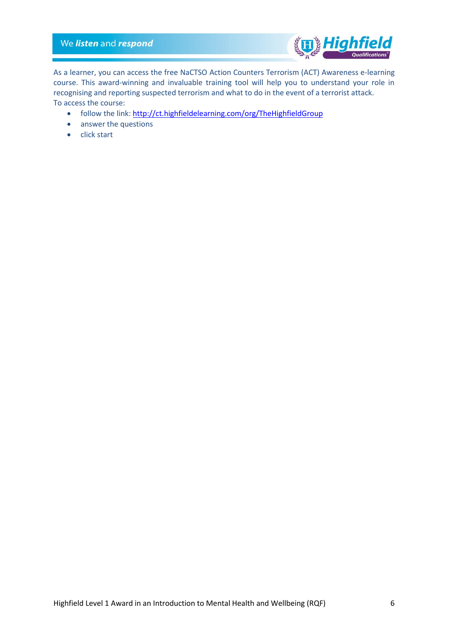## We listen and respond



As a learner, you can access the free NaCTSO Action Counters Terrorism (ACT) Awareness e-learning course. This award-winning and invaluable training tool will help you to understand your role in recognising and reporting suspected terrorism and what to do in the event of a terrorist attack. To access the course:

- follow the link: http://ct.highfieldelearning.com/org/TheHighfieldGroup
- answer the questions
- click start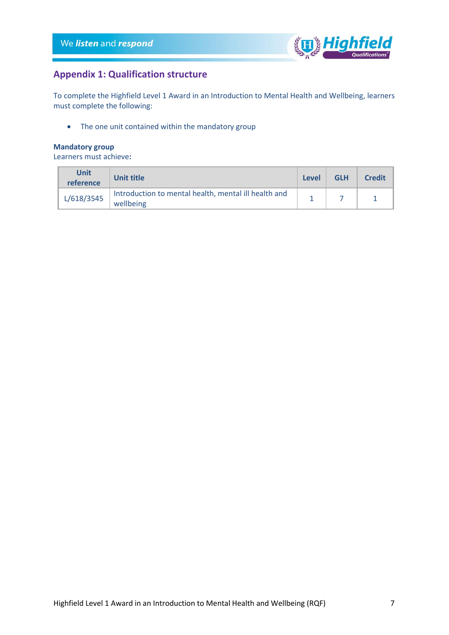

# <span id="page-6-0"></span>**Appendix 1: Qualification structure**

To complete the Highfield Level 1 Award in an Introduction to Mental Health and Wellbeing, learners must complete the following:

• The one unit contained within the mandatory group

## **Mandatory group**

Learners must achieve**:**

| <b>Unit</b><br>reference | Unit title                                                        | Level | <b>GLH</b> | <b>Credit</b> |
|--------------------------|-------------------------------------------------------------------|-------|------------|---------------|
| L/618/3545               | Introduction to mental health, mental ill health and<br>wellbeing |       |            |               |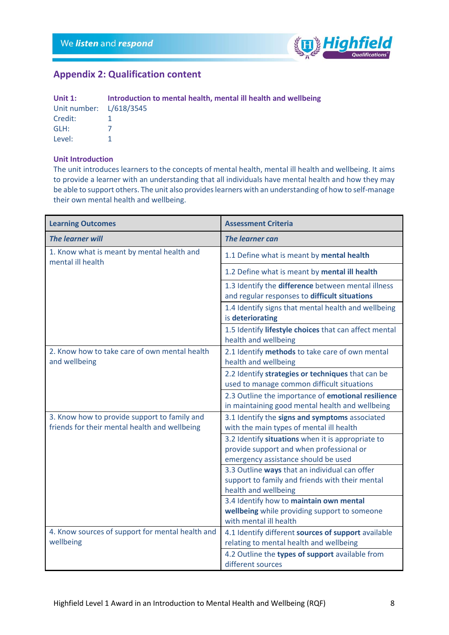

# <span id="page-7-0"></span>**Appendix 2: Qualification content**

| Unit $1:$               | Introduction to mental health, mental ill health and wellbeing |
|-------------------------|----------------------------------------------------------------|
| Unit number: L/618/3545 |                                                                |
| Credit:                 |                                                                |
| GLH:                    |                                                                |
| Level:                  |                                                                |

## **Unit Introduction**

The unit introduces learners to the concepts of mental health, mental ill health and wellbeing. It aims to provide a learner with an understanding that all individuals have mental health and how they may be able to support others. The unit also provides learners with an understanding of how to self-manage their own mental health and wellbeing.

| <b>Learning Outcomes</b>                                                                      | <b>Assessment Criteria</b>                                                                                                           |
|-----------------------------------------------------------------------------------------------|--------------------------------------------------------------------------------------------------------------------------------------|
| <b>The learner will</b>                                                                       | <b>The learner can</b>                                                                                                               |
| 1. Know what is meant by mental health and<br>mental ill health                               | 1.1 Define what is meant by mental health                                                                                            |
|                                                                                               | 1.2 Define what is meant by mental ill health                                                                                        |
|                                                                                               | 1.3 Identify the difference between mental illness<br>and regular responses to difficult situations                                  |
|                                                                                               | 1.4 Identify signs that mental health and wellbeing<br>is deteriorating                                                              |
|                                                                                               | 1.5 Identify lifestyle choices that can affect mental<br>health and wellbeing                                                        |
| 2. Know how to take care of own mental health<br>and wellbeing                                | 2.1 Identify methods to take care of own mental<br>health and wellbeing                                                              |
|                                                                                               | 2.2 Identify strategies or techniques that can be<br>used to manage common difficult situations                                      |
|                                                                                               | 2.3 Outline the importance of emotional resilience<br>in maintaining good mental health and wellbeing                                |
| 3. Know how to provide support to family and<br>friends for their mental health and wellbeing | 3.1 Identify the signs and symptoms associated<br>with the main types of mental ill health                                           |
|                                                                                               | 3.2 Identify situations when it is appropriate to<br>provide support and when professional or<br>emergency assistance should be used |
|                                                                                               | 3.3 Outline ways that an individual can offer<br>support to family and friends with their mental<br>health and wellbeing             |
|                                                                                               | 3.4 Identify how to maintain own mental<br>wellbeing while providing support to someone<br>with mental ill health                    |
| 4. Know sources of support for mental health and<br>wellbeing                                 | 4.1 Identify different sources of support available<br>relating to mental health and wellbeing                                       |
|                                                                                               | 4.2 Outline the types of support available from<br>different sources                                                                 |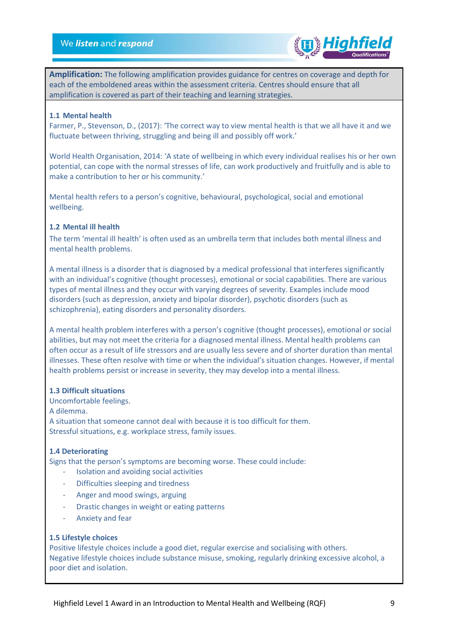

**Amplification:** The following amplification provides guidance for centres on coverage and depth for each of the emboldened areas within the assessment criteria. Centres should ensure that all amplification is covered as part of their teaching and learning strategies.

## **1.1 Mental health**

Farmer, P., Stevenson, D., (2017): 'The correct way to view mental health is that we all have it and we fluctuate between thriving, struggling and being ill and possibly off work.'

World Health Organisation, 2014: 'A state of wellbeing in which every individual realises his or her own potential, can cope with the normal stresses of life, can work productively and fruitfully and is able to make a contribution to her or his community.'

Mental health refers to a person's cognitive, behavioural, psychological, social and emotional wellbeing.

## **1.2 Mental ill health**

The term 'mental ill health' is often used as an umbrella term that includes both mental illness and mental health problems.

A mental illness is a disorder that is diagnosed by a medical professional that interferes significantly with an individual's cognitive (thought processes), emotional or social capabilities. There are various types of mental illness and they occur with varying degrees of severity. Examples include mood disorders (such as depression, anxiety and bipolar disorder), psychotic disorders (such as schizophrenia), eating disorders and personality disorders.

A mental health problem interferes with a person's cognitive (thought processes), emotional or social abilities, but may not meet the criteria for a diagnosed mental illness. Mental health problems can often occur as a result of life stressors and are usually less severe and of shorter duration than mental illnesses. These often resolve with time or when the individual's situation changes. However, if mental health problems persist or increase in severity, they may develop into a mental illness.

## **1.3 Difficult situations**

Uncomfortable feelings.

A dilemma.

A situation that someone cannot deal with because it is too difficult for them. Stressful situations, e.g. workplace stress, family issues.

## **1.4 Deteriorating**

Signs that the person's symptoms are becoming worse. These could include:

- Isolation and avoiding social activities
- Difficulties sleeping and tiredness
- Anger and mood swings, arguing
- Drastic changes in weight or eating patterns
- Anxiety and fear

## **1.5 Lifestyle choices**

Positive lifestyle choices include a good diet, regular exercise and socialising with others. Negative lifestyle choices include substance misuse, smoking, regularly drinking excessive alcohol, a poor diet and isolation.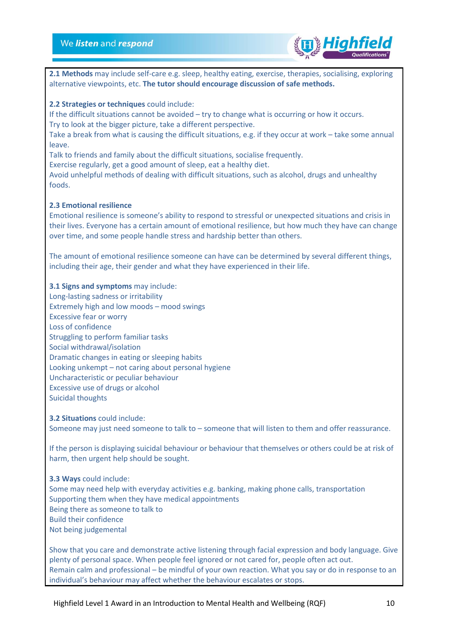

**2.1 Methods** may include self-care e.g. sleep, healthy eating, exercise, therapies, socialising, exploring alternative viewpoints, etc. **The tutor should encourage discussion of safe methods.** 

## **2.2 Strategies or techniques** could include:

If the difficult situations cannot be avoided – try to change what is occurring or how it occurs. Try to look at the bigger picture, take a different perspective.

Take a break from what is causing the difficult situations, e.g. if they occur at work – take some annual leave.

Talk to friends and family about the difficult situations, socialise frequently.

Exercise regularly, get a good amount of sleep, eat a healthy diet.

Avoid unhelpful methods of dealing with difficult situations, such as alcohol, drugs and unhealthy foods.

## **2.3 Emotional resilience**

Emotional resilience is someone's ability to respond to stressful or unexpected situations and crisis in their lives. Everyone has a certain amount of emotional resilience, but how much they have can change over time, and some people handle stress and hardship better than others.

The amount of emotional resilience someone can have can be determined by several different things, including their age, their gender and what they have experienced in their life.

## **3.1 Signs and symptoms** may include:

Long-lasting sadness or irritability Extremely high and low moods – mood swings Excessive fear or worry Loss of confidence Struggling to perform familiar tasks Social withdrawal/isolation Dramatic changes in eating or sleeping habits Looking unkempt – not caring about personal hygiene Uncharacteristic or peculiar behaviour Excessive use of drugs or alcohol Suicidal thoughts

**3.2 Situations** could include: Someone may just need someone to talk to – someone that will listen to them and offer reassurance.

If the person is displaying suicidal behaviour or behaviour that themselves or others could be at risk of harm, then urgent help should be sought.

**3.3 Ways** could include: Some may need help with everyday activities e.g. banking, making phone calls, transportation Supporting them when they have medical appointments Being there as someone to talk to Build their confidence Not being judgemental

Show that you care and demonstrate active listening through facial expression and body language. Give plenty of personal space. When people feel ignored or not cared for, people often act out. Remain calm and professional – be mindful of your own reaction. What you say or do in response to an individual's behaviour may affect whether the behaviour escalates or stops.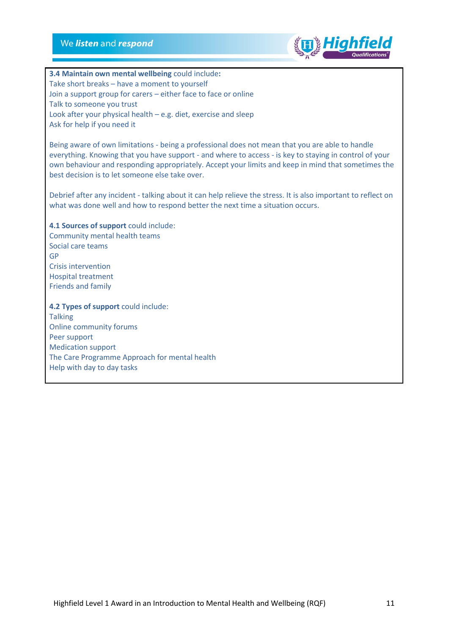## We listen and respond



**3.4 Maintain own mental wellbeing** could include**:** Take short breaks – have a moment to yourself Join a support group for carers – either face to face or online Talk to someone you trust Look after your physical health – e.g. diet, exercise and sleep Ask for help if you need it

Being aware of own limitations - being a professional does not mean that you are able to handle everything. Knowing that you have support - and where to access - is key to staying in control of your own behaviour and responding appropriately. Accept your limits and keep in mind that sometimes the best decision is to let someone else take over.

Debrief after any incident - talking about it can help relieve the stress. It is also important to reflect on what was done well and how to respond better the next time a situation occurs.

**4.1 Sources of support** could include: Community mental health teams Social care teams GP Crisis intervention Hospital treatment Friends and family

**4.2 Types of support** could include:

**Talking** Online community forums Peer support Medication support The Care Programme Approach for mental health Help with day to day tasks